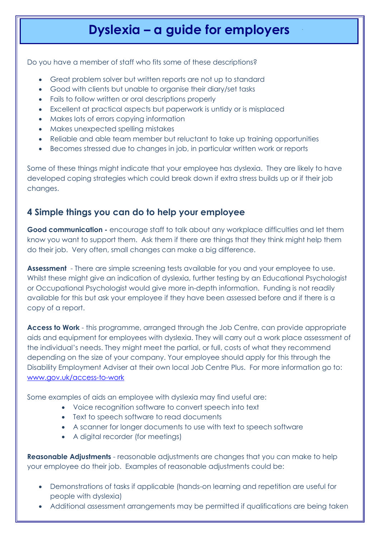# **Dyslexia – a guide for employers**

Do you have a member of staff who fits some of these descriptions?

- Great problem solver but written reports are not up to standard
- Good with clients but unable to organise their diary/set tasks
- Fails to follow written or oral descriptions properly
- Excellent at practical aspects but paperwork is untidy or is misplaced
- Makes lots of errors copying information
- Makes unexpected spelling mistakes
- Reliable and able team member but reluctant to take up training opportunities
- Becomes stressed due to changes in job, in particular written work or reports

Some of these things might indicate that your employee has dyslexia. They are likely to have developed coping strategies which could break down if extra stress builds up or if their job changes.

### **4 Simple things you can do to help your employee**

**Good communication -** encourage staff to talk about any workplace difficulties and let them know you want to support them. Ask them if there are things that they think might help them do their job. Very often, small changes can make a big difference.

**Assessment** - There are simple screening tests available for you and your employee to use. Whilst these might give an indication of dyslexia, further testing by an Educational Psychologist or Occupational Psychologist would give more in-depth information. Funding is not readily available for this but ask your employee if they have been assessed before and if there is a copy of a report.

**Access to Work** - this programme, arranged through the Job Centre, can provide appropriate aids and equipment for employees with dyslexia. They will carry out a work place assessment of the individual's needs. They might meet the partial, or full, costs of what they recommend depending on the size of your company. Your employee should apply for this through the Disability Employment Adviser at their own local Job Centre Plus. For more information go to: [www.gov.uk/access-to-work](http://www.gov.uk/accesstowork)

Some examples of aids an employee with dyslexia may find useful are:

- Voice recognition software to convert speech into text
- Text to speech software to read documents
- A scanner for longer documents to use with text to speech software
- A digital recorder (for meetings)

**Reasonable Adjustments** - reasonable adjustments are changes that you can make to help your employee do their job. Examples of reasonable adjustments could be:

- Demonstrations of tasks if applicable (hands-on learning and repetition are useful for people with dyslexia)
- Additional assessment arrangements may be permitted if qualifications are being taken